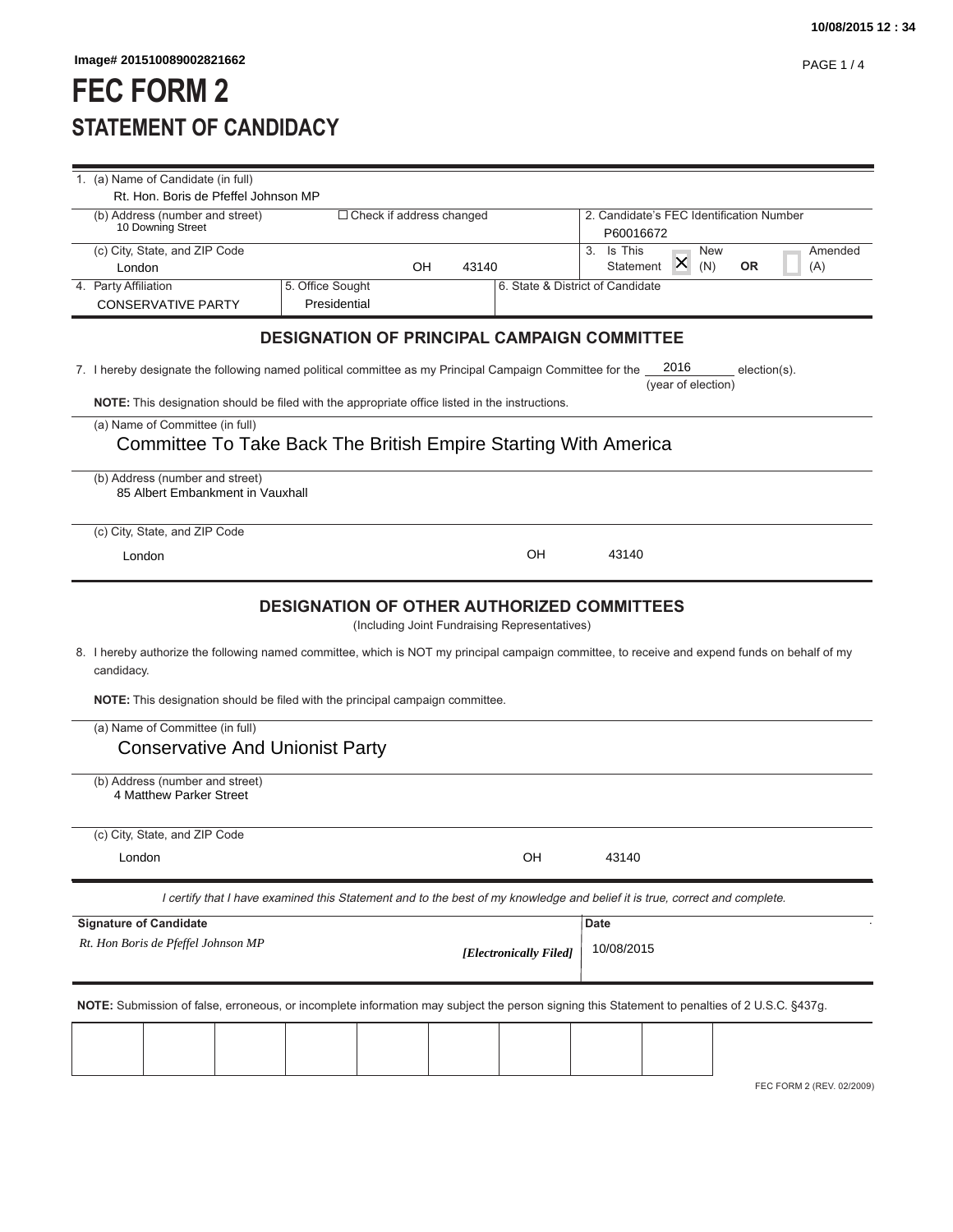## **FEC FORM 2 STATEMENT OF CANDIDACY**

|                      | Image# 201510089002821662                                                                                                                      |                                                    |                            |       |                                               |                                                       |                    |            |              | <b>PAGE 1/4</b> |
|----------------------|------------------------------------------------------------------------------------------------------------------------------------------------|----------------------------------------------------|----------------------------|-------|-----------------------------------------------|-------------------------------------------------------|--------------------|------------|--------------|-----------------|
|                      | <b>FEC FORM 2</b>                                                                                                                              |                                                    |                            |       |                                               |                                                       |                    |            |              |                 |
|                      | <b>STATEMENT OF CANDIDACY</b>                                                                                                                  |                                                    |                            |       |                                               |                                                       |                    |            |              |                 |
|                      | 1. (a) Name of Candidate (in full)                                                                                                             |                                                    |                            |       |                                               |                                                       |                    |            |              |                 |
|                      | Rt. Hon. Boris de Pfeffel Johnson MP                                                                                                           |                                                    |                            |       |                                               |                                                       |                    |            |              |                 |
|                      | (b) Address (number and street)<br>10 Downing Street                                                                                           |                                                    | □ Check if address changed |       |                                               | 2. Candidate's FEC Identification Number<br>P60016672 |                    |            |              |                 |
|                      | (c) City, State, and ZIP Code                                                                                                                  |                                                    | OH                         | 43140 |                                               | 3. Is This<br>Statement                               | X.                 | New<br>(N) | <b>OR</b>    | Amended<br>(A)  |
| 4. Party Affiliation | London                                                                                                                                         | 5. Office Sought                                   |                            |       | 6. State & District of Candidate              |                                                       |                    |            |              |                 |
|                      | <b>CONSERVATIVE PARTY</b>                                                                                                                      | Presidential                                       |                            |       |                                               |                                                       |                    |            |              |                 |
|                      |                                                                                                                                                | <b>DESIGNATION OF PRINCIPAL CAMPAIGN COMMITTEE</b> |                            |       |                                               |                                                       |                    |            |              |                 |
|                      | 7. I hereby designate the following named political committee as my Principal Campaign Committee for the                                       |                                                    |                            |       |                                               |                                                       | 2016               |            | election(s). |                 |
|                      | NOTE: This designation should be filed with the appropriate office listed in the instructions.                                                 |                                                    |                            |       |                                               |                                                       | (year of election) |            |              |                 |
|                      | (a) Name of Committee (in full)                                                                                                                |                                                    |                            |       |                                               |                                                       |                    |            |              |                 |
|                      | Committee To Take Back The British Empire Starting With America                                                                                |                                                    |                            |       |                                               |                                                       |                    |            |              |                 |
|                      | (b) Address (number and street)<br>85 Albert Embankment in Vauxhall                                                                            |                                                    |                            |       |                                               |                                                       |                    |            |              |                 |
|                      | (c) City, State, and ZIP Code                                                                                                                  |                                                    |                            |       |                                               |                                                       |                    |            |              |                 |
|                      | London                                                                                                                                         |                                                    |                            |       | OH                                            | 43140                                                 |                    |            |              |                 |
|                      | 8. I hereby authorize the following named committee, which is NOT my principal campaign committee, to receive and expend funds on behalf of my | <b>DESIGNATION OF OTHER AUTHORIZED COMMITTEES</b>  |                            |       | (Including Joint Fundraising Representatives) |                                                       |                    |            |              |                 |
|                      |                                                                                                                                                |                                                    |                            |       |                                               |                                                       |                    |            |              |                 |
| candidacy.           |                                                                                                                                                |                                                    |                            |       |                                               |                                                       |                    |            |              |                 |
|                      | NOTE: This designation should be filed with the principal campaign committee.<br>(a) Name of Committee (in full)                               |                                                    |                            |       |                                               |                                                       |                    |            |              |                 |
|                      | <b>Conservative And Unionist Party</b>                                                                                                         |                                                    |                            |       |                                               |                                                       |                    |            |              |                 |
|                      | (b) Address (number and street)                                                                                                                |                                                    |                            |       |                                               |                                                       |                    |            |              |                 |
|                      | 4 Matthew Parker Street                                                                                                                        |                                                    |                            |       |                                               |                                                       |                    |            |              |                 |
|                      | (c) City, State, and ZIP Code                                                                                                                  |                                                    |                            |       |                                               |                                                       |                    |            |              |                 |
|                      | London                                                                                                                                         |                                                    |                            |       | OH                                            | 43140                                                 |                    |            |              |                 |
|                      | I certify that I have examined this Statement and to the best of my knowledge and belief it is true, correct and complete.                     |                                                    |                            |       |                                               |                                                       |                    |            |              |                 |
|                      | <b>Signature of Candidate</b>                                                                                                                  |                                                    |                            |       |                                               | Date                                                  |                    |            |              |                 |
|                      | Rt. Hon Boris de Pfeffel Johnson MP                                                                                                            |                                                    |                            |       | [Electronically Filed]                        | 10/08/2015                                            |                    |            |              |                 |
|                      | NOTE: Submission of false, erroneous, or incomplete information may subject the person signing this Statement to penalties of 2 U.S.C. §437g.  |                                                    |                            |       |                                               |                                                       |                    |            |              |                 |
|                      |                                                                                                                                                |                                                    |                            |       |                                               |                                                       |                    |            |              |                 |

FEC FORM 2 (REV. 02/2009)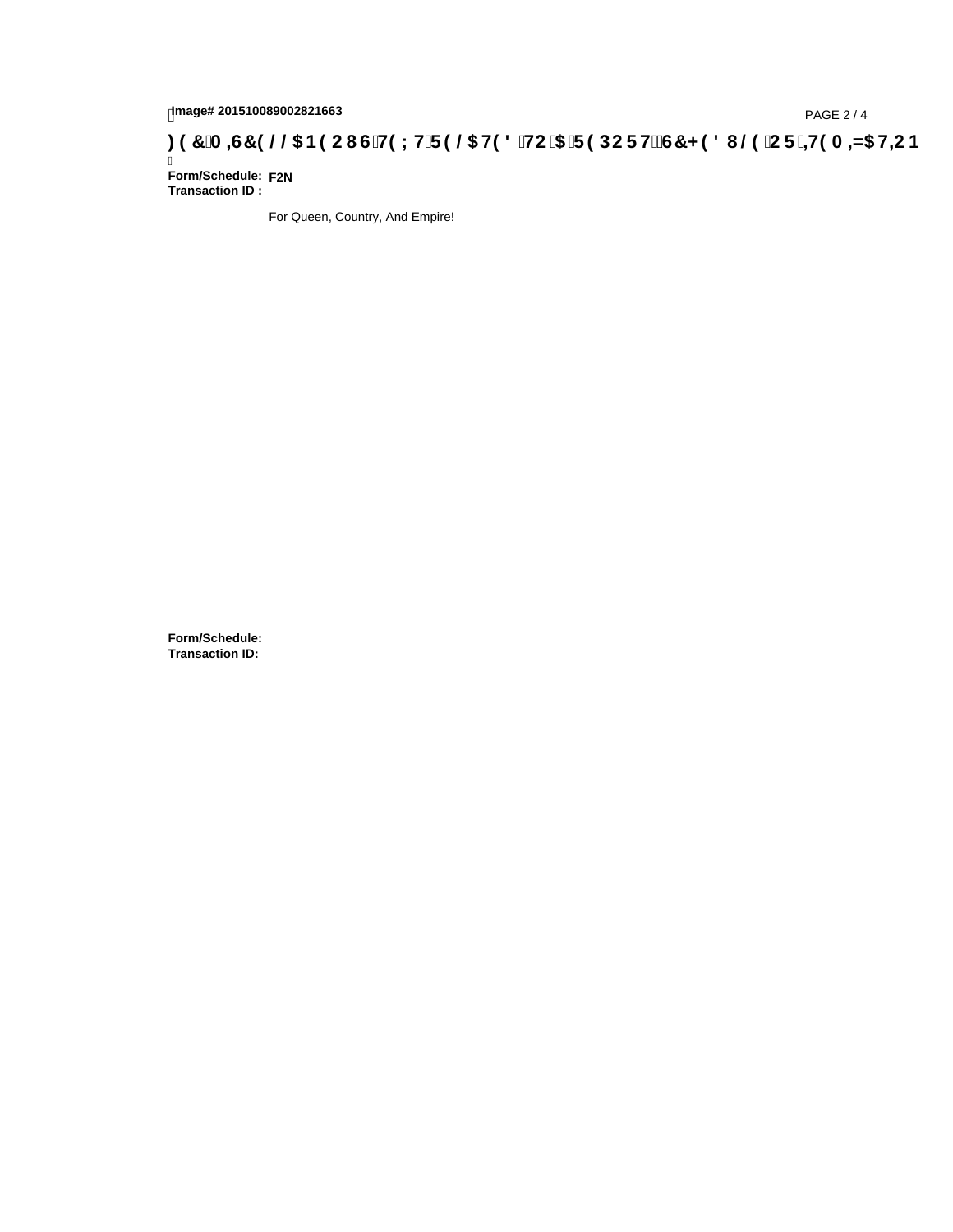## 1mage# 201510089002821663<br>DAGE 2/4 (PAGE 2/4<br>Standard G'H9LH'F9 @ H98 'HC '5 'F9 DCF HžG7 < 981 (29 °CF '<del>11</del>9 A <del>A</del>5 H=C B

Ī **Form/Schedule: F2NTransaction ID :** 

For Queen, Country, And Empire!

**Form/Schedule: Transaction ID:**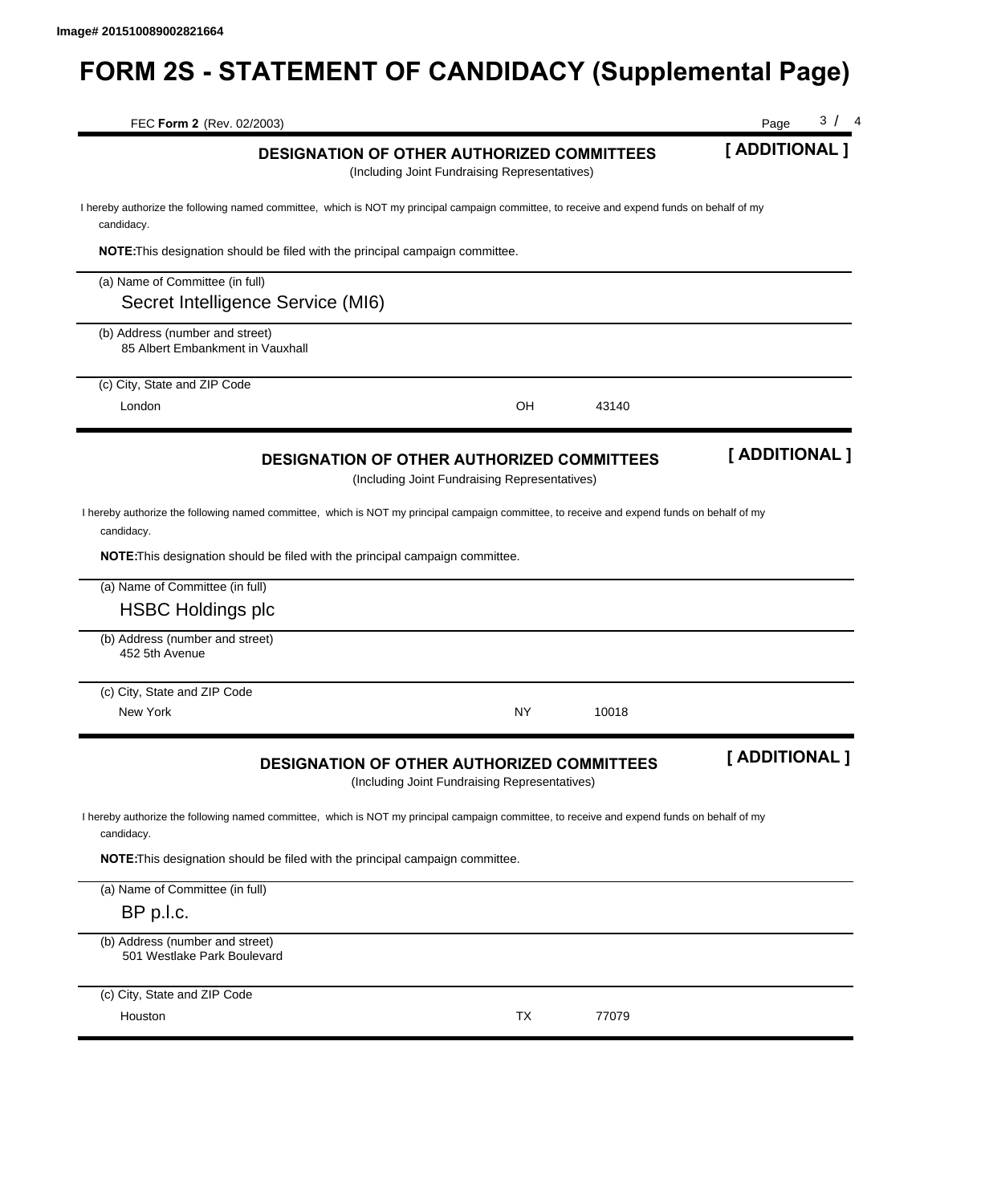## **FORM 2S - STATEMENT OF CANDIDACY (Supplemental Page)**

| FEC Form 2 (Rev. 02/2003)                                           |                                                                                      |                                                                                                                                             | 3 / 4<br>Page  |
|---------------------------------------------------------------------|--------------------------------------------------------------------------------------|---------------------------------------------------------------------------------------------------------------------------------------------|----------------|
|                                                                     |                                                                                      | DESIGNATION OF OTHER AUTHORIZED COMMITTEES<br>(Including Joint Fundraising Representatives)                                                 | [ ADDITIONAL ] |
| candidacy.                                                          |                                                                                      | I hereby authorize the following named committee, which is NOT my principal campaign committee, to receive and expend funds on behalf of my |                |
|                                                                     | <b>NOTE:</b> This designation should be filed with the principal campaign committee. |                                                                                                                                             |                |
| (a) Name of Committee (in full)                                     |                                                                                      |                                                                                                                                             |                |
| Secret Intelligence Service (MI6)                                   |                                                                                      |                                                                                                                                             |                |
| (b) Address (number and street)<br>85 Albert Embankment in Vauxhall |                                                                                      |                                                                                                                                             |                |
| (c) City, State and ZIP Code                                        |                                                                                      |                                                                                                                                             |                |
| London                                                              |                                                                                      | OH<br>43140                                                                                                                                 |                |
|                                                                     |                                                                                      | <b>DESIGNATION OF OTHER AUTHORIZED COMMITTEES</b><br>(Including Joint Fundraising Representatives)                                          | [ ADDITIONAL ] |
| candidacy.                                                          |                                                                                      | I hereby authorize the following named committee, which is NOT my principal campaign committee, to receive and expend funds on behalf of my |                |
| (a) Name of Committee (in full)<br><b>HSBC Holdings plc</b>         | <b>NOTE:</b> This designation should be filed with the principal campaign committee. |                                                                                                                                             |                |
| (b) Address (number and street)<br>452 5th Avenue                   |                                                                                      |                                                                                                                                             |                |
| (c) City, State and ZIP Code                                        |                                                                                      |                                                                                                                                             |                |
| New York                                                            |                                                                                      | NΥ<br>10018                                                                                                                                 |                |
|                                                                     |                                                                                      | <b>DESIGNATION OF OTHER AUTHORIZED COMMITTEES</b><br>(Including Joint Fundraising Representatives)                                          |                |
| candidacy.                                                          |                                                                                      | I hereby authorize the following named committee, which is NOT my principal campaign committee, to receive and expend funds on behalf of my |                |
|                                                                     | NOTE: This designation should be filed with the principal campaign committee.        |                                                                                                                                             |                |
| (a) Name of Committee (in full)                                     |                                                                                      |                                                                                                                                             |                |
| BP p.l.c.                                                           |                                                                                      |                                                                                                                                             |                |
| (b) Address (number and street)<br>501 Westlake Park Boulevard      |                                                                                      |                                                                                                                                             |                |
| (c) City, State and ZIP Code                                        |                                                                                      |                                                                                                                                             | [ ADDITIONAL ] |